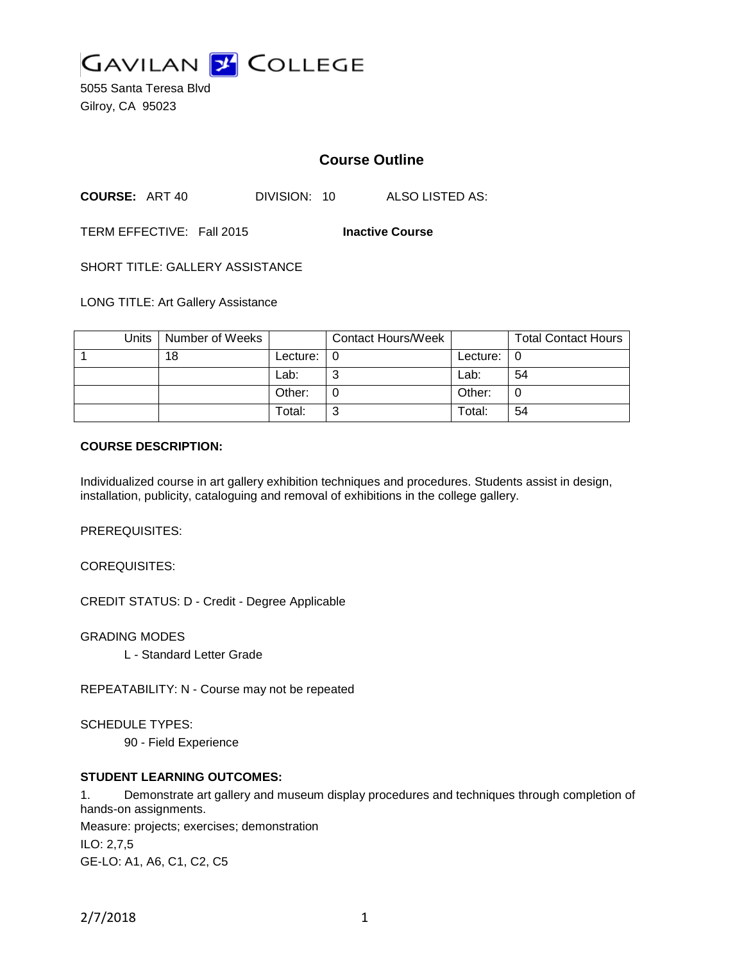

5055 Santa Teresa Blvd Gilroy, CA 95023

# **Course Outline**

**COURSE:** ART 40 DIVISION: 10 ALSO LISTED AS:

TERM EFFECTIVE: Fall 2015 **Inactive Course**

SHORT TITLE: GALLERY ASSISTANCE

LONG TITLE: Art Gallery Assistance

|  | Units   Number of Weeks |          | <b>Contact Hours/Week</b> |          | <b>Total Contact Hours</b> |
|--|-------------------------|----------|---------------------------|----------|----------------------------|
|  | 18                      | Lecture: |                           | Lecture: |                            |
|  |                         | Lab:     | v                         | Lab:     | 54                         |
|  |                         | Other:   |                           | Other:   |                            |
|  |                         | Total:   | N                         | Total:   | 54                         |

#### **COURSE DESCRIPTION:**

Individualized course in art gallery exhibition techniques and procedures. Students assist in design, installation, publicity, cataloguing and removal of exhibitions in the college gallery.

PREREQUISITES:

COREQUISITES:

CREDIT STATUS: D - Credit - Degree Applicable

GRADING MODES

L - Standard Letter Grade

REPEATABILITY: N - Course may not be repeated

SCHEDULE TYPES:

90 - Field Experience

### **STUDENT LEARNING OUTCOMES:**

1. Demonstrate art gallery and museum display procedures and techniques through completion of hands-on assignments. Measure: projects; exercises; demonstration ILO: 2,7,5 GE-LO: A1, A6, C1, C2, C5

2/7/2018 1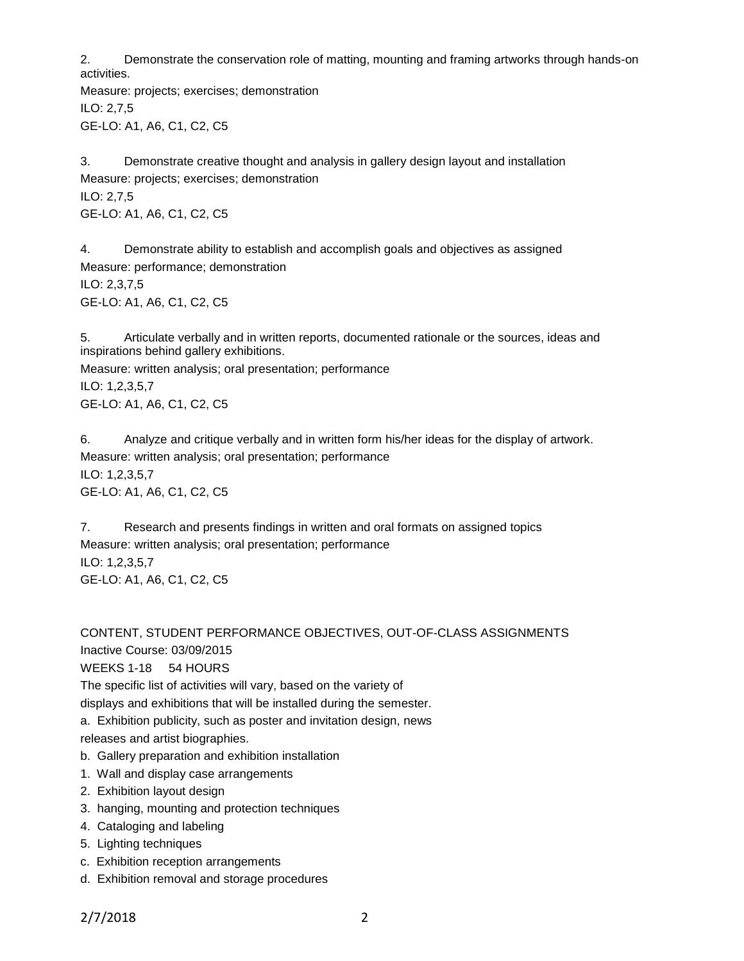2. Demonstrate the conservation role of matting, mounting and framing artworks through hands-on activities.

Measure: projects; exercises; demonstration ILO: 2,7,5 GE-LO: A1, A6, C1, C2, C5

3. Demonstrate creative thought and analysis in gallery design layout and installation Measure: projects; exercises; demonstration ILO: 2,7,5 GE-LO: A1, A6, C1, C2, C5

4. Demonstrate ability to establish and accomplish goals and objectives as assigned Measure: performance; demonstration ILO: 2,3,7,5 GE-LO: A1, A6, C1, C2, C5

5. Articulate verbally and in written reports, documented rationale or the sources, ideas and inspirations behind gallery exhibitions.

Measure: written analysis; oral presentation; performance ILO: 1,2,3,5,7 GE-LO: A1, A6, C1, C2, C5

6. Analyze and critique verbally and in written form his/her ideas for the display of artwork. Measure: written analysis; oral presentation; performance ILO: 1,2,3,5,7 GE-LO: A1, A6, C1, C2, C5

7. Research and presents findings in written and oral formats on assigned topics Measure: written analysis; oral presentation; performance ILO: 1,2,3,5,7 GE-LO: A1, A6, C1, C2, C5

CONTENT, STUDENT PERFORMANCE OBJECTIVES, OUT-OF-CLASS ASSIGNMENTS Inactive Course: 03/09/2015 WEEKS 1-18 54 HOURS

The specific list of activities will vary, based on the variety of displays and exhibitions that will be installed during the semester.

a. Exhibition publicity, such as poster and invitation design, news

releases and artist biographies.

- b. Gallery preparation and exhibition installation
- 1. Wall and display case arrangements
- 2. Exhibition layout design
- 3. hanging, mounting and protection techniques
- 4. Cataloging and labeling
- 5. Lighting techniques
- c. Exhibition reception arrangements
- d. Exhibition removal and storage procedures

2/7/2018 2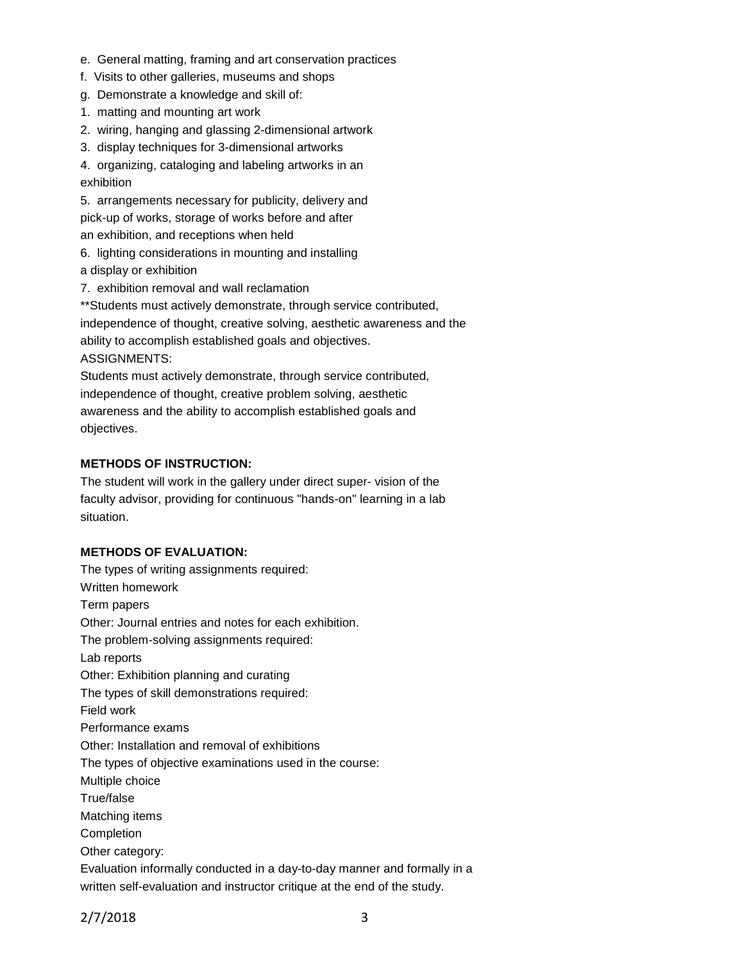- e. General matting, framing and art conservation practices
- f. Visits to other galleries, museums and shops
- g. Demonstrate a knowledge and skill of:
- 1. matting and mounting art work
- 2. wiring, hanging and glassing 2-dimensional artwork
- 3. display techniques for 3-dimensional artworks

4. organizing, cataloging and labeling artworks in an exhibition

5. arrangements necessary for publicity, delivery and pick-up of works, storage of works before and after an exhibition, and receptions when held

- 6. lighting considerations in mounting and installing a display or exhibition
- 7. exhibition removal and wall reclamation

\*\*Students must actively demonstrate, through service contributed, independence of thought, creative solving, aesthetic awareness and the ability to accomplish established goals and objectives. ASSIGNMENTS:

Students must actively demonstrate, through service contributed, independence of thought, creative problem solving, aesthetic awareness and the ability to accomplish established goals and objectives.

### **METHODS OF INSTRUCTION:**

The student will work in the gallery under direct super- vision of the faculty advisor, providing for continuous "hands-on" learning in a lab situation.

#### **METHODS OF EVALUATION:**

The types of writing assignments required: Written homework Term papers Other: Journal entries and notes for each exhibition. The problem-solving assignments required: Lab reports Other: Exhibition planning and curating The types of skill demonstrations required: Field work Performance exams Other: Installation and removal of exhibitions The types of objective examinations used in the course: Multiple choice True/false Matching items Completion Other category: Evaluation informally conducted in a day-to-day manner and formally in a written self-evaluation and instructor critique at the end of the study.

2/7/2018 3